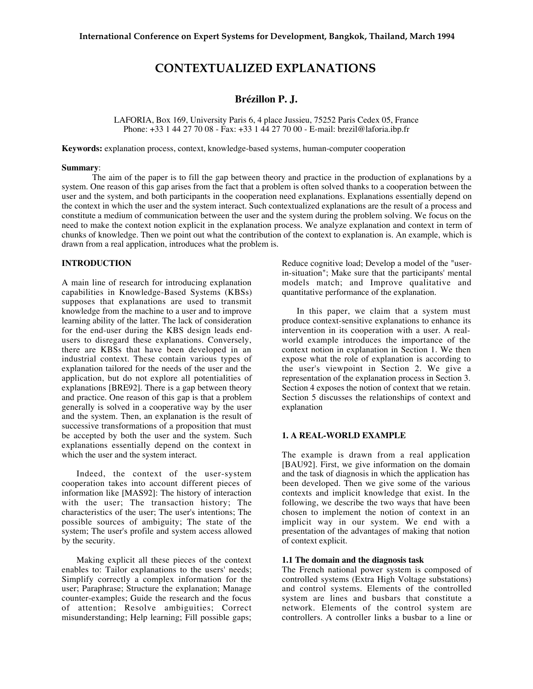# **CONTEXTUALIZED EXPLANATIONS**

# **Brézillon P. J.**

LAFORIA, Box 169, University Paris 6, 4 place Jussieu, 75252 Paris Cedex 05, France Phone: +33 1 44 27 70 08 - Fax: +33 1 44 27 70 00 - E-mail: brezil@laforia.ibp.fr

**Keywords:** explanation process, context, knowledge-based systems, human-computer cooperation

#### **Summary**:

The aim of the paper is to fill the gap between theory and practice in the production of explanations by a system. One reason of this gap arises from the fact that a problem is often solved thanks to a cooperation between the user and the system, and both participants in the cooperation need explanations. Explanations essentially depend on the context in which the user and the system interact. Such contextualized explanations are the result of a process and constitute a medium of communication between the user and the system during the problem solving. We focus on the need to make the context notion explicit in the explanation process. We analyze explanation and context in term of chunks of knowledge. Then we point out what the contribution of the context to explanation is. An example, which is drawn from a real application, introduces what the problem is.

## **INTRODUCTION**

A main line of research for introducing explanation capabilities in Knowledge-Based Systems (KBSs) supposes that explanations are used to transmit knowledge from the machine to a user and to improve learning ability of the latter. The lack of consideration for the end-user during the KBS design leads endusers to disregard these explanations. Conversely, there are KBSs that have been developed in an industrial context. These contain various types of explanation tailored for the needs of the user and the application, but do not explore all potentialities of explanations [BRE92]. There is a gap between theory and practice. One reason of this gap is that a problem generally is solved in a cooperative way by the user and the system. Then, an explanation is the result of successive transformations of a proposition that must be accepted by both the user and the system. Such explanations essentially depend on the context in which the user and the system interact.

Indeed, the context of the user-system cooperation takes into account different pieces of information like [MAS92]: The history of interaction with the user; The transaction history; The characteristics of the user; The user's intentions; The possible sources of ambiguity; The state of the system; The user's profile and system access allowed by the security.

Making explicit all these pieces of the context enables to: Tailor explanations to the users' needs; Simplify correctly a complex information for the user; Paraphrase; Structure the explanation; Manage counter-examples; Guide the research and the focus of attention; Resolve ambiguities; Correct misunderstanding; Help learning; Fill possible gaps;

Reduce cognitive load; Develop a model of the "userin-situation"; Make sure that the participants' mental models match; and Improve qualitative and quantitative performance of the explanation.

In this paper, we claim that a system must produce context-sensitive explanations to enhance its intervention in its cooperation with a user. A realworld example introduces the importance of the context notion in explanation in Section 1. We then expose what the role of explanation is according to the user's viewpoint in Section 2. We give a representation of the explanation process in Section 3. Section 4 exposes the notion of context that we retain. Section 5 discusses the relationships of context and explanation

## **1. A REAL-WORLD EXAMPLE**

The example is drawn from a real application [BAU92]. First, we give information on the domain and the task of diagnosis in which the application has been developed. Then we give some of the various contexts and implicit knowledge that exist. In the following, we describe the two ways that have been chosen to implement the notion of context in an implicit way in our system. We end with a presentation of the advantages of making that notion of context explicit.

## **1.1 The domain and the diagnosis task**

The French national power system is composed of controlled systems (Extra High Voltage substations) and control systems. Elements of the controlled system are lines and busbars that constitute a network. Elements of the control system are controllers. A controller links a busbar to a line or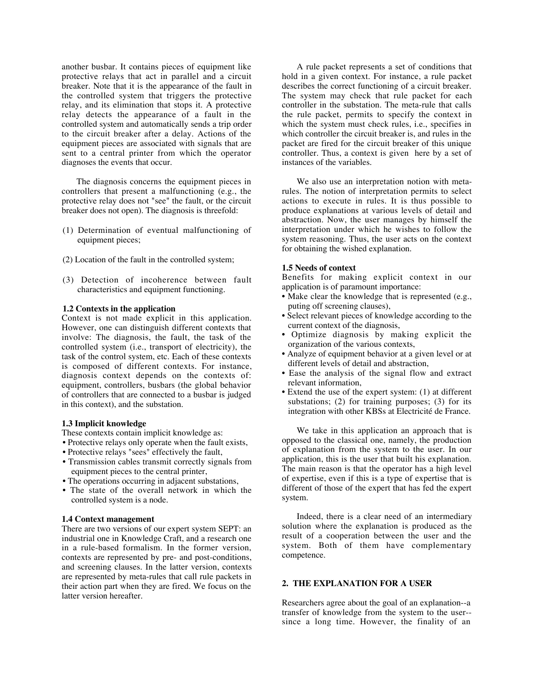another busbar. It contains pieces of equipment like protective relays that act in parallel and a circuit breaker. Note that it is the appearance of the fault in the controlled system that triggers the protective relay, and its elimination that stops it. A protective relay detects the appearance of a fault in the controlled system and automatically sends a trip order to the circuit breaker after a delay. Actions of the equipment pieces are associated with signals that are sent to a central printer from which the operator diagnoses the events that occur.

The diagnosis concerns the equipment pieces in controllers that present a malfunctioning (e.g., the protective relay does not "see" the fault, or the circuit breaker does not open). The diagnosis is threefold:

- (1) Determination of eventual malfunctioning of equipment pieces;
- (2) Location of the fault in the controlled system;
- (3) Detection of incoherence between fault characteristics and equipment functioning.

## **1.2 Contexts in the application**

Context is not made explicit in this application. However, one can distinguish different contexts that involve: The diagnosis, the fault, the task of the controlled system (i.e., transport of electricity), the task of the control system, etc. Each of these contexts is composed of different contexts. For instance, diagnosis context depends on the contexts of: equipment, controllers, busbars (the global behavior of controllers that are connected to a busbar is judged in this context), and the substation.

#### **1.3 Implicit knowledge**

These contexts contain implicit knowledge as:

- Protective relays only operate when the fault exists,
- Protective relays "sees" effectively the fault,
- Transmission cables transmit correctly signals from equipment pieces to the central printer,
- The operations occurring in adjacent substations,
- The state of the overall network in which the controlled system is a node.

#### **1.4 Context management**

There are two versions of our expert system SEPT: an industrial one in Knowledge Craft, and a research one in a rule-based formalism. In the former version, contexts are represented by pre- and post-conditions, and screening clauses. In the latter version, contexts are represented by meta-rules that call rule packets in their action part when they are fired. We focus on the latter version hereafter.

A rule packet represents a set of conditions that hold in a given context. For instance, a rule packet describes the correct functioning of a circuit breaker. The system may check that rule packet for each controller in the substation. The meta-rule that calls the rule packet, permits to specify the context in which the system must check rules, i.e., specifies in which controller the circuit breaker is, and rules in the packet are fired for the circuit breaker of this unique controller. Thus, a context is given here by a set of instances of the variables.

We also use an interpretation notion with metarules. The notion of interpretation permits to select actions to execute in rules. It is thus possible to produce explanations at various levels of detail and abstraction. Now, the user manages by himself the interpretation under which he wishes to follow the system reasoning. Thus, the user acts on the context for obtaining the wished explanation.

#### **1.5 Needs of context**

Benefits for making explicit context in our application is of paramount importance:

- Make clear the knowledge that is represented (e.g., puting off screening clauses),
- Select relevant pieces of knowledge according to the current context of the diagnosis,
- Optimize diagnosis by making explicit the organization of the various contexts,
- Analyze of equipment behavior at a given level or at different levels of detail and abstraction,
- Ease the analysis of the signal flow and extract relevant information,
- Extend the use of the expert system: (1) at different substations; (2) for training purposes; (3) for its integration with other KBSs at Electricité de France.

We take in this application an approach that is opposed to the classical one, namely, the production of explanation from the system to the user. In our application, this is the user that built his explanation. The main reason is that the operator has a high level of expertise, even if this is a type of expertise that is different of those of the expert that has fed the expert system.

Indeed, there is a clear need of an intermediary solution where the explanation is produced as the result of a cooperation between the user and the system. Both of them have complementary competence.

# **2. THE EXPLANATION FOR A USER**

Researchers agree about the goal of an explanation--a transfer of knowledge from the system to the user- since a long time. However, the finality of an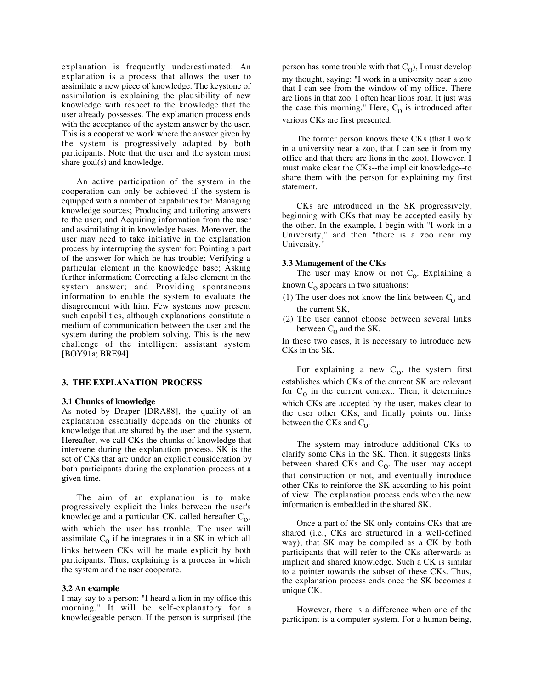explanation is frequently underestimated: An explanation is a process that allows the user to assimilate a new piece of knowledge. The keystone of assimilation is explaining the plausibility of new knowledge with respect to the knowledge that the user already possesses. The explanation process ends with the acceptance of the system answer by the user. This is a cooperative work where the answer given by the system is progressively adapted by both participants. Note that the user and the system must share goal(s) and knowledge.

An active participation of the system in the cooperation can only be achieved if the system is equipped with a number of capabilities for: Managing knowledge sources; Producing and tailoring answers to the user; and Acquiring information from the user and assimilating it in knowledge bases. Moreover, the user may need to take initiative in the explanation process by interrupting the system for: Pointing a part of the answer for which he has trouble; Verifying a particular element in the knowledge base; Asking further information; Correcting a false element in the system answer; and Providing spontaneous information to enable the system to evaluate the disagreement with him. Few systems now present such capabilities, although explanations constitute a medium of communication between the user and the system during the problem solving. This is the new challenge of the intelligent assistant system [BOY91a; BRE94].

### **3. THE EXPLANATION PROCESS**

#### **3.1 Chunks of knowledge**

As noted by Draper [DRA88], the quality of an explanation essentially depends on the chunks of knowledge that are shared by the user and the system. Hereafter, we call CKs the chunks of knowledge that intervene during the explanation process. SK is the set of CKs that are under an explicit consideration by both participants during the explanation process at a given time.

The aim of an explanation is to make progressively explicit the links between the user's knowledge and a particular CK, called hereafter  $C_0$ , with which the user has trouble. The user will assimilate  $C_0$  if he integrates it in a SK in which all links between CKs will be made explicit by both participants. Thus, explaining is a process in which the system and the user cooperate.

#### **3.2 An example**

I may say to a person: "I heard a lion in my office this morning." It will be self-explanatory for a knowledgeable person. If the person is surprised (the person has some trouble with that  $C_0$ ), I must develop my thought, saying: "I work in a university near a zoo that I can see from the window of my office. There are lions in that zoo. I often hear lions roar. It just was the case this morning." Here,  $C_0$  is introduced after various CKs are first presented.

The former person knows these CKs (that I work in a university near a zoo, that I can see it from my office and that there are lions in the zoo). However, I must make clear the CKs--the implicit knowledge--to share them with the person for explaining my first statement.

CKs are introduced in the SK progressively, beginning with CKs that may be accepted easily by the other. In the example, I begin with "I work in a University," and then "there is a zoo near my University."

### **3.3 Management of the CKs**

The user may know or not  $C_0$ . Explaining a known  $C_0$  appears in two situations:

- (1) The user does not know the link between  $C_0$  and the current SK,
- (2) The user cannot choose between several links between  $C_0$  and the SK.

In these two cases, it is necessary to introduce new CKs in the SK.

For explaining a new  $C_0$ , the system first establishes which CKs of the current SK are relevant for  $C_0$  in the current context. Then, it determines which CKs are accepted by the user, makes clear to the user other CKs, and finally points out links between the CKs and  $C_0$ .

The system may introduce additional CKs to clarify some CKs in the SK. Then, it suggests links between shared CKs and  $C_0$ . The user may accept that construction or not, and eventually introduce other CKs to reinforce the SK according to his point of view. The explanation process ends when the new information is embedded in the shared SK.

Once a part of the SK only contains CKs that are shared (i.e., CKs are structured in a well-defined way), that SK may be compiled as a CK by both participants that will refer to the CKs afterwards as implicit and shared knowledge. Such a CK is similar to a pointer towards the subset of these CKs. Thus, the explanation process ends once the SK becomes a unique CK.

However, there is a difference when one of the participant is a computer system. For a human being,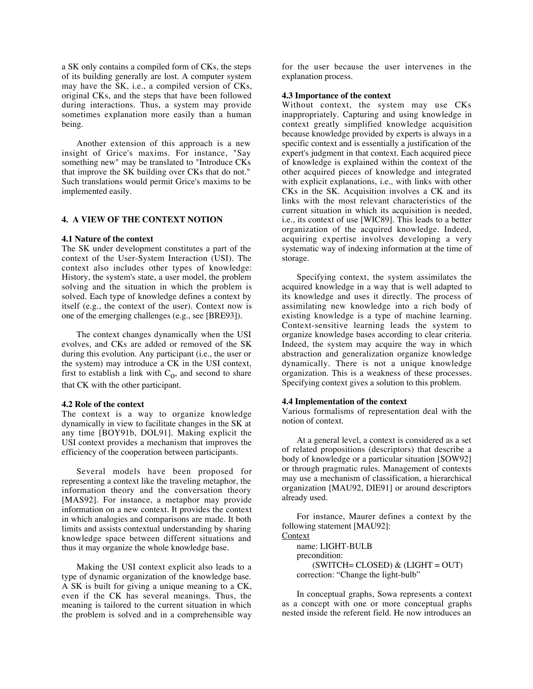a SK only contains a compiled form of CKs, the steps of its building generally are lost. A computer system may have the SK, i.e., a compiled version of CKs, original CKs, and the steps that have been followed during interactions. Thus, a system may provide sometimes explanation more easily than a human being.

Another extension of this approach is a new insight of Grice's maxims. For instance, "Say something new" may be translated to "Introduce CKs that improve the SK building over CKs that do not." Such translations would permit Grice's maxims to be implemented easily.

## **4. A VIEW OF THE CONTEXT NOTION**

#### **4.1 Nature of the context**

The SK under development constitutes a part of the context of the User-System Interaction (USI). The context also includes other types of knowledge: History, the system's state, a user model, the problem solving and the situation in which the problem is solved. Each type of knowledge defines a context by itself (e.g., the context of the user). Context now is one of the emerging challenges (e.g., see [BRE93]).

The context changes dynamically when the USI evolves, and CKs are added or removed of the SK during this evolution. Any participant (i.e., the user or the system) may introduce a CK in the USI context, first to establish a link with  $C_0$ , and second to share that CK with the other participant.

#### **4.2 Role of the context**

The context is a way to organize knowledge dynamically in view to facilitate changes in the SK at any time [BOY91b, DOL91]. Making explicit the USI context provides a mechanism that improves the efficiency of the cooperation between participants.

Several models have been proposed for representing a context like the traveling metaphor, the information theory and the conversation theory [MAS92]. For instance, a metaphor may provide information on a new context. It provides the context in which analogies and comparisons are made. It both limits and assists contextual understanding by sharing knowledge space between different situations and thus it may organize the whole knowledge base.

Making the USI context explicit also leads to a type of dynamic organization of the knowledge base. A SK is built for giving a unique meaning to a CK, even if the CK has several meanings. Thus, the meaning is tailored to the current situation in which the problem is solved and in a comprehensible way

for the user because the user intervenes in the explanation process.

#### **4.3 Importance of the context**

Without context, the system may use CKs inappropriately. Capturing and using knowledge in context greatly simplified knowledge acquisition because knowledge provided by experts is always in a specific context and is essentially a justification of the expert's judgment in that context. Each acquired piece of knowledge is explained within the context of the other acquired pieces of knowledge and integrated with explicit explanations, i.e., with links with other CKs in the SK. Acquisition involves a CK and its links with the most relevant characteristics of the current situation in which its acquisition is needed, i.e., its context of use [WIC89]. This leads to a better organization of the acquired knowledge. Indeed, acquiring expertise involves developing a very systematic way of indexing information at the time of storage.

Specifying context, the system assimilates the acquired knowledge in a way that is well adapted to its knowledge and uses it directly. The process of assimilating new knowledge into a rich body of existing knowledge is a type of machine learning. Context-sensitive learning leads the system to organize knowledge bases according to clear criteria. Indeed, the system may acquire the way in which abstraction and generalization organize knowledge dynamically. There is not a unique knowledge organization. This is a weakness of these processes. Specifying context gives a solution to this problem.

#### **4.4 Implementation of the context**

Various formalisms of representation deal with the notion of context.

At a general level, a context is considered as a set of related propositions (descriptors) that describe a body of knowledge or a particular situation [SOW92] or through pragmatic rules. Management of contexts may use a mechanism of classification, a hierarchical organization [MAU92, DIE91] or around descriptors already used.

For instance, Maurer defines a context by the following statement [MAU92]: Context

name: LIGHT-BULB precondition:  $(SWITCH = CLOSED) & (LIGHT = OUT)$ correction: "Change the light-bulb"

In conceptual graphs, Sowa represents a context as a concept with one or more conceptual graphs nested inside the referent field. He now introduces an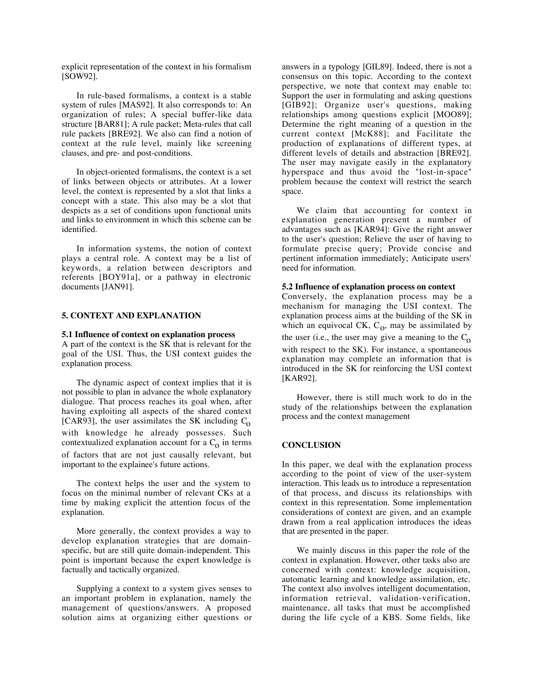explicit representation of the context in his formalism [SOW92].

In rule-based formalisms, a context is a stable system of rules [MAS92]. It also corresponds to: An organization of rules; A special buffer-like data structure [BAR81]; A rule packet; Meta-rules that call rule packets [BRE92]. We also can find a notion of context at the rule level, mainly like screening clauses, and pre- and post-conditions.

In object-oriented formalisms, the context is a set of links between objects or attributes. At a lower level, the context is represented by a slot that links a concept with a state. This also may be a slot that despicts as a set of conditions upon functional units and links to environment in which this scheme can be identified.

In information systems, the notion of context plays a central role. A context may be a list of keywords, a relation between descriptors and referents [BOY91a], or a pathway in electronic documents [JAN91].

# **5. CONTEXT AND EXPLANATION**

#### **5.1 Influence of context on explanation process**

A part of the context is the SK that is relevant for the goal of the USI. Thus, the USI context guides the explanation process.

The dynamic aspect of context implies that it is not possible to plan in advance the whole explanatory dialogue. That process reaches its goal when, after having exploiting all aspects of the shared context [CAR93], the user assimilates the SK including  $C_0$ with knowledge he already possesses. Such contextualized explanation account for a  $C_0$  in terms of factors that are not just causally relevant, but important to the explainee's future actions.

The context helps the user and the system to focus on the minimal number of relevant CKs at a time by making explicit the attention focus of the explanation.

More generally, the context provides a way to develop explanation strategies that are domainspecific, but are still quite domain-independent. This point is important because the expert knowledge is factually and tactically organized.

Supplying a context to a system gives senses to an important problem in explanation, namely the management of questions/answers. A proposed solution aims at organizing either questions or

answers in a typology [GIL89]. Indeed, there is not a consensus on this topic. According to the context perspective, we note that context may enable to: Support the user in formulating and asking questions [GIB92]; Organize user's questions, making relationships among questions explicit [MOO89]; Determine the right meaning of a question in the current context [McK88]; and Facilitate the production of explanations of different types, at different levels of details and abstraction [BRE92]. The user may navigate easily in the explanatory hyperspace and thus avoid the "lost-in-space" problem because the context will restrict the search space.

We claim that accounting for context in explanation generation present a number of advantages such as [KAR94]: Give the right answer to the user's question; Relieve the user of having to formulate precise query; Provide concise and pertinent information immediately; Anticipate users' need for information.

#### **5.2 Influence of explanation process on context**

Conversely, the explanation process may be a mechanism for managing the USI context. The explanation process aims at the building of the SK in which an equivocal CK,  $C_0$ , may be assimilated by the user (i.e., the user may give a meaning to the  $C_0$ with respect to the SK). For instance, a spontaneous explanation may complete an information that is introduced in the SK for reinforcing the USI context [KAR92].

However, there is still much work to do in the study of the relationships between the explanation process and the context management

### **CONCLUSION**

In this paper, we deal with the explanation process according to the point of view of the user-system interaction. This leads us to introduce a representation of that process, and discuss its relationships with context in this representation. Some implementation considerations of context are given, and an example drawn from a real application introduces the ideas that are presented in the paper.

We mainly discuss in this paper the role of the context in explanation. However, other tasks also are concerned with context: knowledge acquisition, automatic learning and knowledge assimilation, etc. The context also involves intelligent documentation, information retrieval, validation-verification, maintenance, all tasks that must be accomplished during the life cycle of a KBS. Some fields, like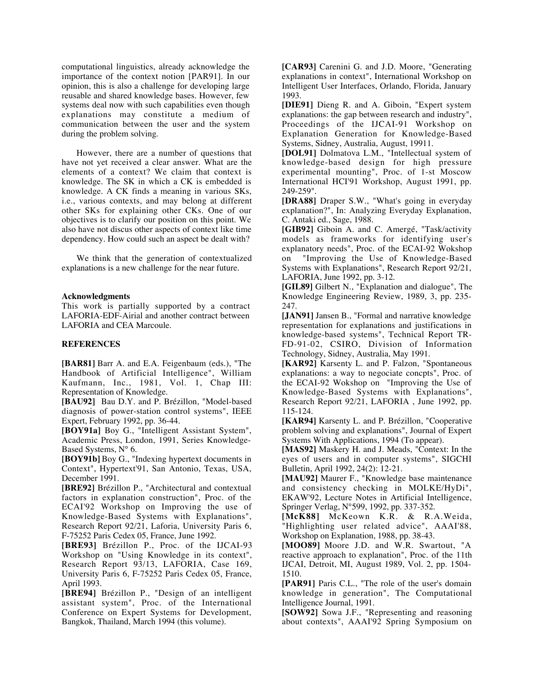computational linguistics, already acknowledge the importance of the context notion [PAR91]. In our opinion, this is also a challenge for developing large reusable and shared knowledge bases. However, few systems deal now with such capabilities even though explanations may constitute a medium of communication between the user and the system during the problem solving.

However, there are a number of questions that have not yet received a clear answer. What are the elements of a context? We claim that context is knowledge. The SK in which a CK is embedded is knowledge. A CK finds a meaning in various SKs, i.e., various contexts, and may belong at different other SKs for explaining other CKs. One of our objectives is to clarify our position on this point. We also have not discus other aspects of context like time dependency. How could such an aspect be dealt with?

We think that the generation of contextualized explanations is a new challenge for the near future.

## **Acknowledgments**

This work is partially supported by a contract LAFORIA-EDF-Airial and another contract between LAFORIA and CEA Marcoule.

## **REFERENCES**

**[BAR81]** Barr A. and E.A. Feigenbaum (eds.), "The Handbook of Artificial Intelligence", William Kaufmann, Inc., 1981, Vol. 1, Chap III: Representation of Knowledge.

**[BAU92]** Bau D.Y. and P. Brézillon, "Model-based diagnosis of power-station control systems", IEEE Expert, February 1992, pp. 36-44.

**[BOY91a]** Boy G., "Intelligent Assistant System", Academic Press, London, 1991, Series Knowledge-Based Systems, N° 6.

**[BOY91b]** Boy G., "Indexing hypertext documents in Context", Hypertext'91, San Antonio, Texas, USA, December 1991.

**[BRE92]** Brézillon P., "Architectural and contextual factors in explanation construction", Proc. of the ECAI'92 Workshop on Improving the use of Knowledge-Based Systems with Explanations", Research Report 92/21, Laforia, University Paris 6, F-75252 Paris Cedex 05, France, June 1992.

**[BRE93]** Brézillon P., Proc. of the IJCAI-93 Workshop on "Using Knowledge in its context", Research Report 93/13, LAFORIA, Case 169, University Paris 6, F-75252 Paris Cedex 05, France, April 1993.

**[BRE94]** Brézillon P., "Design of an intelligent assistant system", Proc. of the International Conference on Expert Systems for Development, Bangkok, Thailand, March 1994 (this volume).

**[CAR93]** Carenini G. and J.D. Moore, "Generating explanations in context", International Workshop on Intelligent User Interfaces, Orlando, Florida, January 1993.

**[DIE91]** Dieng R. and A. Giboin, "Expert system explanations: the gap between research and industry", Proceedings of the IJCAI-91 Workshop on Explanation Generation for Knowledge-Based Systems, Sidney, Australia, August, 19911.

**[DOL91]** Dolmatova L.M., "Intellectual system of knowledge-based design for high pressure experimental mounting", Proc. of 1-st Moscow International HCI'91 Workshop, August 1991, pp. 249-259".

**[DRA88]** Draper S.W., "What's going in everyday explanation?", In: Analyzing Everyday Explanation, C. Antaki ed., Sage, 1988.

**[GIB92]** Giboin A. and C. Amergé, "Task/activity models as frameworks for identifying user's explanatory needs", Proc. of the ECAI-92 Wokshop on "Improving the Use of Knowledge-Based Systems with Explanations", Research Report 92/21, LAFORIA, June 1992, pp. 3-12.

**[GIL89]** Gilbert N., "Explanation and dialogue", The Knowledge Engineering Review, 1989, 3, pp. 235- 247.

**[JAN91]** Jansen B., "Formal and narrative knowledge representation for explanations and justifications in knowledge-based systems", Technical Report TR-FD-91-02, CSIRO, Division of Information Technology, Sidney, Australia, May 1991.

**[KAR92]** Karsenty L. and P. Falzon, "Spontaneous explanations: a way to negociate concpts", Proc. of the ECAI-92 Wokshop on "Improving the Use of Knowledge-Based Systems with Explanations", Research Report 92/21, LAFORIA , June 1992, pp. 115-124.

**[KAR94]** Karsenty L. and P. Brézillon, "Cooperative problem solving and explanations", Journal of Expert Systems With Applications, 1994 (To appear).

**[MAS92]** Maskery H. and J. Meads, "Context: In the eyes of users and in computer systems", SIGCHI Bulletin, April 1992, 24(2): 12-21.

**[MAU92]** Maurer F., "Knowledge base maintenance and consistency checking in MOLKE/HyDi", EKAW'92, Lecture Notes in Artificial Intelligence, Springer Verlag, N°599, 1992, pp. 337-352.

**[McK88]** McKeown K.R. & R.A.Weida, "Highlighting user related advice", AAAI'88, Workshop on Explanation, 1988, pp. 38-43.

**[MOO89]** Moore J.D. and W.R. Swartout, "A reactive approach to explanation", Proc. of the 11th IJCAI, Detroit, MI, August 1989, Vol. 2, pp. 1504- 1510.

**[PAR91]** Paris C.L., "The role of the user's domain knowledge in generation", The Computational Intelligence Journal, 1991.

**[SOW92]** Sowa J.F., "Representing and reasoning about contexts", AAAI'92 Spring Symposium on